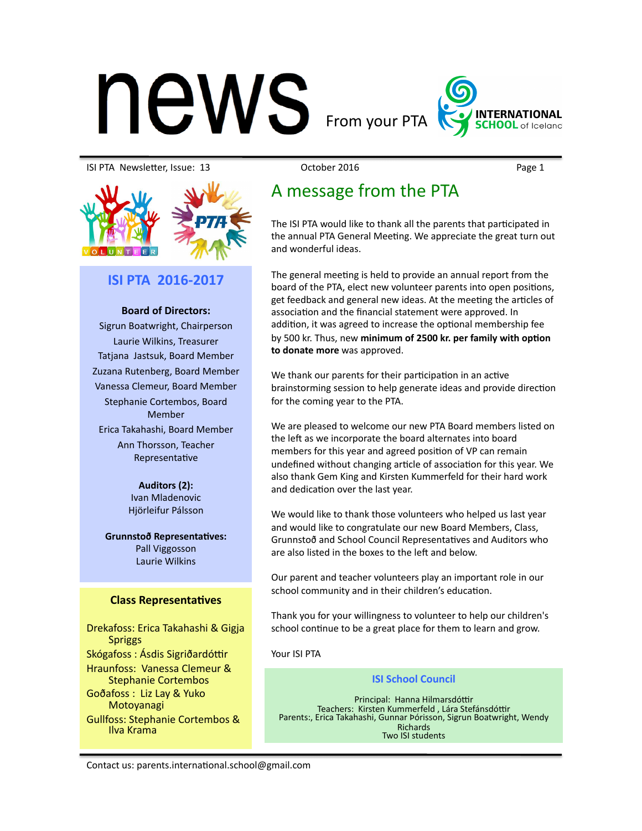# $\mathsf{new}_{\sf From\, your\, PTA}$

**INTERNATIONAL** 

#### ISI PTA NewsleTer, Issue: 13 October 2016 Page 1



## **ISI PTA 2016-2017**

#### **Board of Directors:**

Sigrun Boatwright, Chairperson Laurie Wilkins, Treasurer Tatjana Jastsuk, Board Member Zuzana Rutenberg, Board Member Vanessa Clemeur, Board Member Stephanie Cortembos, Board Member Erica Takahashi, Board Member Ann Thorsson, Teacher Representative

> Auditors (2): Ivan Mladenovic Hjörleifur Pálsson

**Grunnstoð Representatives:** Pall Viggosson Laurie Wilkins 

### **Class Representatives**

Drekafoss: Erica Takahashi & Gigja Spriggs Skógafoss: Ásdis Sigriðardóttir Hraunfoss: Vanessa Clemeur & Stephanie Cortembos Goðafoss : Liz Lay & Yuko Motoyanagi Gullfoss: Stephanie Cortembos & Ilva Krama

# A message from the PTA

The ISI PTA would like to thank all the parents that participated in the annual PTA General Meeting. We appreciate the great turn out and wonderful ideas.

The general meeting is held to provide an annual report from the board of the PTA, elect new volunteer parents into open positions, get feedback and general new ideas. At the meeting the articles of association and the financial statement were approved. In addition, it was agreed to increase the optional membership fee by 500 kr. Thus, new minimum of 2500 kr. per family with option to donate more was approved.

We thank our parents for their participation in an active brainstorming session to help generate ideas and provide direction for the coming year to the PTA.

We are pleased to welcome our new PTA Board members listed on the left as we incorporate the board alternates into board members for this year and agreed position of VP can remain undefined without changing article of association for this year. We also thank Gem King and Kirsten Kummerfeld for their hard work and dedication over the last year.

We would like to thank those volunteers who helped us last year and would like to congratulate our new Board Members, Class, Grunnstoð and School Council Representatives and Auditors who are also listed in the boxes to the left and below

Our parent and teacher volunteers play an important role in our school community and in their children's education.

Thank you for your willingness to volunteer to help our children's school continue to be a great place for them to learn and grow.

Your ISI PTA

#### **ISI School Council**

Principal: Hanna Hilmarsdóttir<br>Teachers: Kirsten Kummerfeld, Lára Stefánsdóttir Parents:, Erica Takahashi, Gunnar Þórisson, Sigrun Boatwright, Wendy Richards Two ISI students